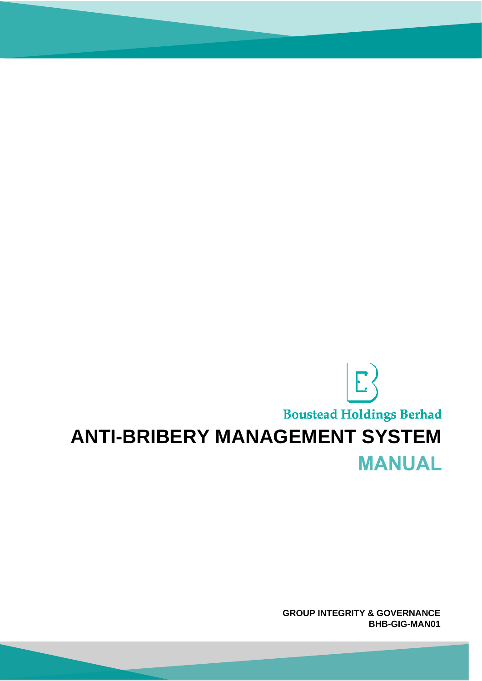# E **Boustead Holdings Berhad ANTI-BRIBERY MANAGEMENT SYSTEM MANUAL**

**GROUP INTEGRITY & GOVERNANCE BHB-GIG-MAN01**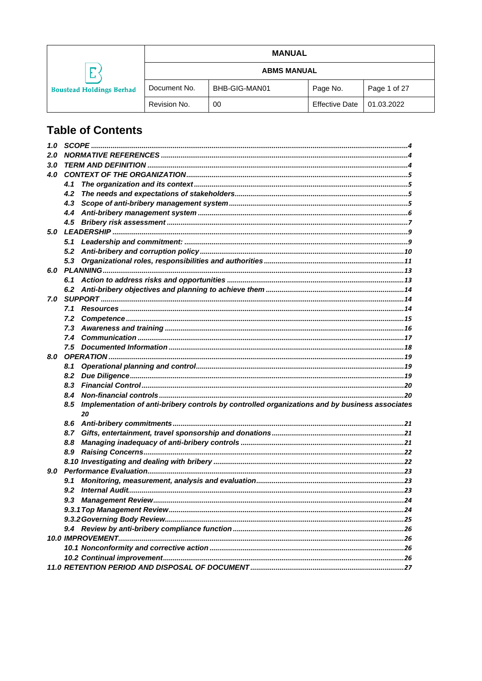|                                 |                    | <b>MANUAL</b> |                       |              |
|---------------------------------|--------------------|---------------|-----------------------|--------------|
|                                 | <b>ABMS MANUAL</b> |               |                       |              |
| <b>Boustead Holdings Berhad</b> | Document No.       | BHB-GIG-MAN01 | Page No.              | Page 1 of 27 |
|                                 | Revision No.       | 00            | <b>Effective Date</b> | 01.03.2022   |

# **Table of Contents**

| 1.0 |                                                                                                             |  |
|-----|-------------------------------------------------------------------------------------------------------------|--|
| 2.0 |                                                                                                             |  |
| 3.0 |                                                                                                             |  |
| 4.0 |                                                                                                             |  |
|     | 4.1                                                                                                         |  |
|     | 4.2                                                                                                         |  |
|     | 4.3                                                                                                         |  |
|     |                                                                                                             |  |
|     |                                                                                                             |  |
|     |                                                                                                             |  |
|     | 5.1                                                                                                         |  |
|     |                                                                                                             |  |
|     |                                                                                                             |  |
|     |                                                                                                             |  |
|     |                                                                                                             |  |
|     |                                                                                                             |  |
| 7.0 |                                                                                                             |  |
|     |                                                                                                             |  |
|     | 7.2                                                                                                         |  |
|     |                                                                                                             |  |
|     |                                                                                                             |  |
|     |                                                                                                             |  |
| 8.0 |                                                                                                             |  |
|     | 8.1                                                                                                         |  |
|     | 8.2                                                                                                         |  |
|     | 8.3                                                                                                         |  |
|     | 8.4                                                                                                         |  |
|     | Implementation of anti-bribery controls by controlled organizations and by business associates<br>8.5<br>20 |  |
|     |                                                                                                             |  |
|     | 8.6<br>8.7                                                                                                  |  |
|     | 8.8                                                                                                         |  |
|     | 8.9                                                                                                         |  |
|     |                                                                                                             |  |
| 9.0 |                                                                                                             |  |
|     | 9.1                                                                                                         |  |
|     | 9.2                                                                                                         |  |
|     | 9.3                                                                                                         |  |
|     |                                                                                                             |  |
|     |                                                                                                             |  |
|     |                                                                                                             |  |
|     |                                                                                                             |  |
|     |                                                                                                             |  |
|     |                                                                                                             |  |
|     |                                                                                                             |  |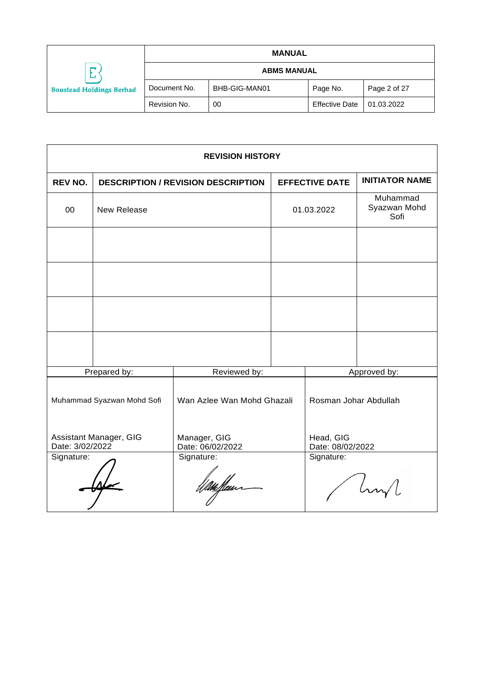|                                           | <b>MANUAL</b>      |               |                       |              |
|-------------------------------------------|--------------------|---------------|-----------------------|--------------|
| −<br>∟<br><b>Boustead Holdings Berhad</b> | <b>ABMS MANUAL</b> |               |                       |              |
|                                           | Document No.       | BHB-GIG-MAN01 | Page No.              | Page 2 of 27 |
|                                           | Revision No.       | 00            | <b>Effective Date</b> | 01.03.2022   |

| <b>REVISION HISTORY</b>                   |                            |                                           |            |                                  |                       |
|-------------------------------------------|----------------------------|-------------------------------------------|------------|----------------------------------|-----------------------|
| <b>REV NO.</b>                            |                            | <b>DESCRIPTION / REVISION DESCRIPTION</b> |            | <b>EFFECTIVE DATE</b>            | <b>INITIATOR NAME</b> |
| 00                                        | New Release                |                                           | 01.03.2022 | Muhammad<br>Syazwan Mohd<br>Sofi |                       |
|                                           |                            |                                           |            |                                  |                       |
|                                           |                            |                                           |            |                                  |                       |
|                                           |                            |                                           |            |                                  |                       |
|                                           |                            |                                           |            |                                  |                       |
|                                           | Prepared by:               | Reviewed by:                              |            |                                  | Approved by:          |
|                                           | Muhammad Syazwan Mohd Sofi | Wan Azlee Wan Mohd Ghazali                |            | Rosman Johar Abdullah            |                       |
| Assistant Manager, GIG<br>Date: 3/02/2022 |                            | Manager, GIG<br>Date: 06/02/2022          |            | Head, GIG<br>Date: 08/02/2022    |                       |
| Signature:                                |                            | Signature:                                |            | Signature:                       |                       |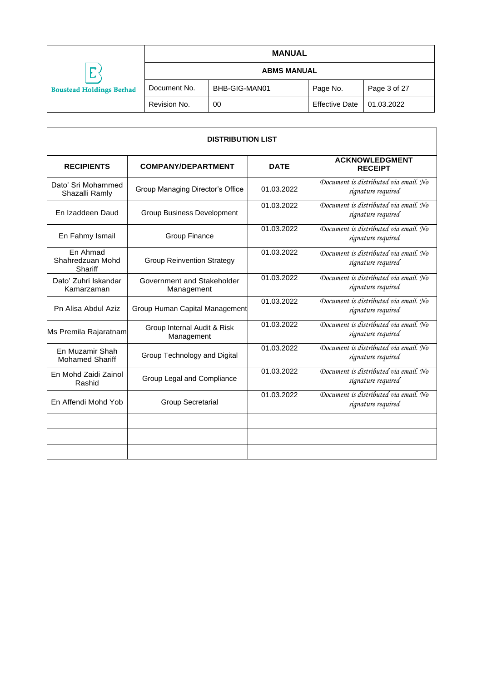|                                           | <b>MANUAL</b>      |               |                       |              |
|-------------------------------------------|--------------------|---------------|-----------------------|--------------|
| −<br>∟<br><b>Boustead Holdings Berhad</b> | <b>ABMS MANUAL</b> |               |                       |              |
|                                           | Document No.       | BHB-GIG-MAN01 | Page No.              | Page 3 of 27 |
|                                           | Revision No.       | 00            | <b>Effective Date</b> | 01.03.2022   |

| <b>DISTRIBUTION LIST</b>                        |                                           |             |                                                             |  |  |
|-------------------------------------------------|-------------------------------------------|-------------|-------------------------------------------------------------|--|--|
| <b>RECIPIENTS</b>                               | <b>COMPANY/DEPARTMENT</b>                 | <b>DATE</b> | <b>ACKNOWLEDGMENT</b><br><b>RECEIPT</b>                     |  |  |
| Dato' Sri Mohammed<br>Shazalli Ramly            | Group Managing Director's Office          | 01.03.2022  | Document is distributed via email. No<br>signature required |  |  |
| En Izaddeen Daud                                | <b>Group Business Development</b>         | 01.03.2022  | Document is distributed via email. No<br>signature required |  |  |
| En Fahmy Ismail                                 | <b>Group Finance</b>                      | 01.03.2022  | Document is distributed via email. No<br>signature required |  |  |
| En Ahmad<br>Shahredzuan Mohd<br>Shariff         | <b>Group Reinvention Strategy</b>         |             | Document is distributed via email. No<br>signature required |  |  |
| Dato' Zuhri Iskandar<br>Kamarzaman              | Government and Stakeholder<br>Management  | 01.03.2022  | Document is distributed via email. No<br>signature required |  |  |
| Pn Alisa Abdul Aziz                             | Group Human Capital Management            | 01.03.2022  | Document is distributed via email. No<br>signature required |  |  |
| Ms Premila Rajaratnam                           | Group Internal Audit & Risk<br>Management | 01.03.2022  | Document is distributed via email. No<br>signature required |  |  |
| En Muzamir Shah<br><b>Mohamed Shariff</b>       | Group Technology and Digital              | 01.03.2022  | Document is distributed via email. No<br>signature required |  |  |
| En Mohd Zaidi Zainol<br>Rashid                  | Group Legal and Compliance                |             | Document is distributed via email. No<br>signature required |  |  |
| En Affendi Mohd Yob<br><b>Group Secretarial</b> |                                           | 01.03.2022  | Document is distributed via email. No<br>signature required |  |  |
|                                                 |                                           |             |                                                             |  |  |
|                                                 |                                           |             |                                                             |  |  |
|                                                 |                                           |             |                                                             |  |  |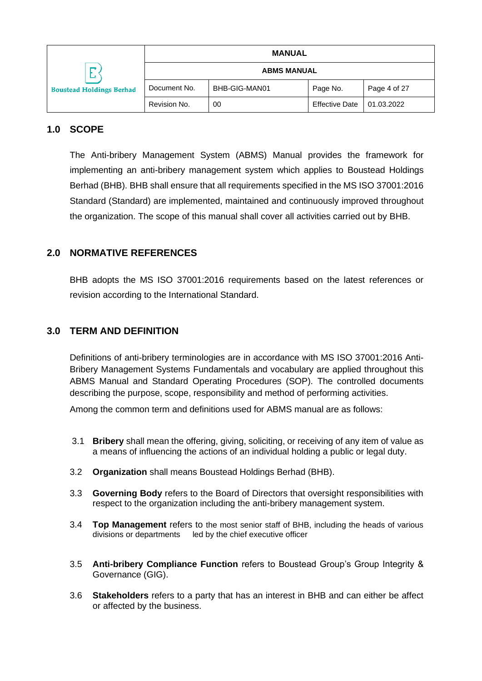|                                 |                    | <b>MANUAL</b> |                       |              |
|---------------------------------|--------------------|---------------|-----------------------|--------------|
| ─<br>پ                          | <b>ABMS MANUAL</b> |               |                       |              |
| <b>Boustead Holdings Berhad</b> | Document No.       | BHB-GIG-MAN01 | Page No.              | Page 4 of 27 |
|                                 | Revision No.       | 00            | <b>Effective Date</b> | 01.03.2022   |

# <span id="page-4-0"></span>**1.0 SCOPE**

The Anti-bribery Management System (ABMS) Manual provides the framework for implementing an anti-bribery management system which applies to Boustead Holdings Berhad (BHB). BHB shall ensure that all requirements specified in the MS ISO 37001:2016 Standard (Standard) are implemented, maintained and continuously improved throughout the organization. The scope of this manual shall cover all activities carried out by BHB.

# <span id="page-4-1"></span>**2.0 NORMATIVE REFERENCES**

BHB adopts the MS ISO 37001:2016 requirements based on the latest references or revision according to the International Standard.

# <span id="page-4-2"></span>**3.0 TERM AND DEFINITION**

Definitions of anti-bribery terminologies are in accordance with MS ISO 37001:2016 Anti-Bribery Management Systems Fundamentals and vocabulary are applied throughout this ABMS Manual and Standard Operating Procedures (SOP). The controlled documents describing the purpose, scope, responsibility and method of performing activities.

Among the common term and definitions used for ABMS manual are as follows:

- 3.1 **Bribery** shall mean the offering, giving, soliciting, or receiving of any item of value as a means of influencing the actions of an individual holding a public or legal duty.
- 3.2 **Organization** shall means Boustead Holdings Berhad (BHB).
- 3.3 **Governing Body** refers to the Board of Directors that oversight responsibilities with respect to the organization including the anti-bribery management system.
- 3.4 **Top Management** refers to the most senior staff of BHB, including the heads of various divisions or departments led by the chief executive officer
- 3.5 **Anti-bribery Compliance Function** refers to Boustead Group's Group Integrity & Governance (GIG).
- 3.6 **Stakeholders** refers to a party that has an interest in BHB and can either be affect or affected by the business.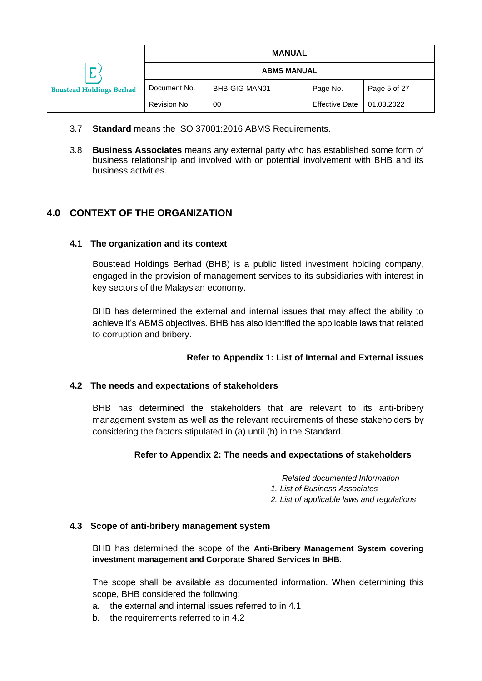|                                           | <b>MANUAL</b>      |               |                       |              |
|-------------------------------------------|--------------------|---------------|-----------------------|--------------|
| −<br>⊷<br><b>Boustead Holdings Berhad</b> | <b>ABMS MANUAL</b> |               |                       |              |
|                                           | Document No.       | BHB-GIG-MAN01 | Page No.              | Page 5 of 27 |
|                                           | Revision No.       | 00            | <b>Effective Date</b> | 01.03.2022   |

- 3.7 **Standard** means the ISO 37001:2016 ABMS Requirements.
- 3.8 **Business Associates** means any external party who has established some form of business relationship and involved with or potential involvement with BHB and its business activities.

# <span id="page-5-0"></span>**4.0 CONTEXT OF THE ORGANIZATION**

## <span id="page-5-1"></span>**4.1 The organization and its context**

Boustead Holdings Berhad (BHB) is a public listed investment holding company, engaged in the provision of management services to its subsidiaries with interest in key sectors of the Malaysian economy.

BHB has determined the external and internal issues that may affect the ability to achieve it's ABMS objectives. BHB has also identified the applicable laws that related to corruption and bribery.

## **Refer to Appendix 1: List of Internal and External issues**

#### <span id="page-5-2"></span>**4.2 The needs and expectations of stakeholders**

BHB has determined the stakeholders that are relevant to its anti-bribery management system as well as the relevant requirements of these stakeholders by considering the factors stipulated in (a) until (h) in the Standard.

#### **Refer to Appendix 2: The needs and expectations of stakeholders**

*Related documented Information*

*1. List of Business Associates*

*2. List of applicable laws and regulations*

#### <span id="page-5-3"></span>**4.3 Scope of anti-bribery management system**

BHB has determined the scope of the **Anti-Bribery Management System covering investment management and Corporate Shared Services In BHB.**

The scope shall be available as documented information. When determining this scope, BHB considered the following:

- a. the external and internal issues referred to in 4.1
- b. the requirements referred to in 4.2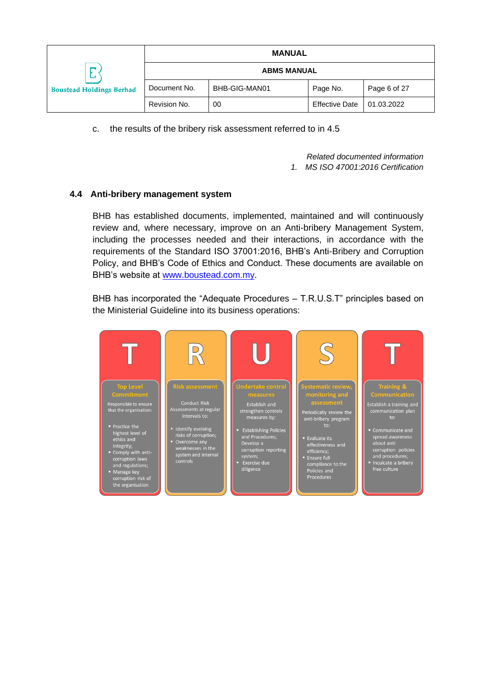|                                 |                    | <b>MANUAL</b> |                       |              |
|---------------------------------|--------------------|---------------|-----------------------|--------------|
| −<br>المسد                      | <b>ABMS MANUAL</b> |               |                       |              |
| <b>Boustead Holdings Berhad</b> | Document No.       | BHB-GIG-MAN01 | Page No.              | Page 6 of 27 |
|                                 | Revision No.       | 00            | <b>Effective Date</b> | 01.03.2022   |

c. the results of the bribery risk assessment referred to in 4.5

*Related documented information*

*1. MS ISO 47001:2016 Certification*

## <span id="page-6-0"></span>**4.4 Anti-bribery management system**

BHB has established documents, implemented, maintained and will continuously review and, where necessary, improve on an Anti-bribery Management System, including the processes needed and their interactions, in accordance with the requirements of the Standard ISO 37001:2016, BHB's Anti-Bribery and Corruption Policy, and BHB's Code of Ethics and Conduct. These documents are available on BHB's website at [www.boustead.com.my.](http://www.boustead.com.my/)

BHB has incorporated the "Adequate Procedures – T.R.U.S.T" principles based on the Ministerial Guideline into its business operations:

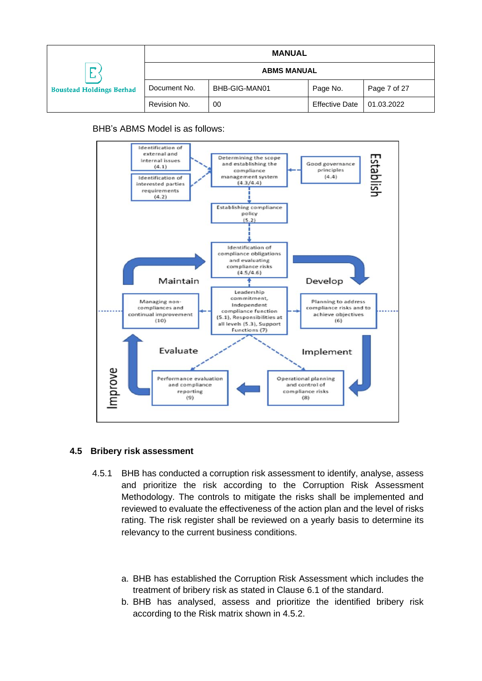|                                           |                    | <b>MANUAL</b> |                       |              |
|-------------------------------------------|--------------------|---------------|-----------------------|--------------|
| −<br>∸<br><b>Boustead Holdings Berhad</b> | <b>ABMS MANUAL</b> |               |                       |              |
|                                           | Document No.       | BHB-GIG-MAN01 | Page No.              | Page 7 of 27 |
|                                           | Revision No.       | 00            | <b>Effective Date</b> | 01.03.2022   |

BHB's ABMS Model is as follows:



#### <span id="page-7-0"></span>**4.5 Bribery risk assessment**

- 4.5.1 BHB has conducted a corruption risk assessment to identify, analyse, assess and prioritize the risk according to the Corruption Risk Assessment Methodology. The controls to mitigate the risks shall be implemented and reviewed to evaluate the effectiveness of the action plan and the level of risks rating. The risk register shall be reviewed on a yearly basis to determine its relevancy to the current business conditions.
	- a. BHB has established the Corruption Risk Assessment which includes the treatment of bribery risk as stated in Clause 6.1 of the standard.
	- b. BHB has analysed, assess and prioritize the identified bribery risk according to the Risk matrix shown in 4.5.2.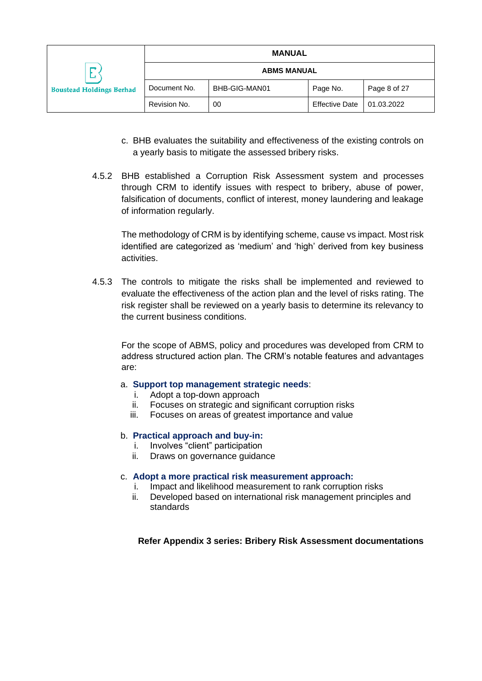|                                      | <b>MANUAL</b>      |               |                       |              |
|--------------------------------------|--------------------|---------------|-----------------------|--------------|
| −<br><b>Boustead Holdings Berhad</b> | <b>ABMS MANUAL</b> |               |                       |              |
|                                      | Document No.       | BHB-GIG-MAN01 | Page No.              | Page 8 of 27 |
|                                      | Revision No.       | 00            | <b>Effective Date</b> | 01.03.2022   |

- c. BHB evaluates the suitability and effectiveness of the existing controls on a yearly basis to mitigate the assessed bribery risks.
- 4.5.2 BHB established a Corruption Risk Assessment system and processes through CRM to identify issues with respect to bribery, abuse of power, falsification of documents, conflict of interest, money laundering and leakage of information regularly.

The methodology of CRM is by identifying scheme, cause vs impact. Most risk identified are categorized as 'medium' and 'high' derived from key business activities.

4.5.3 The controls to mitigate the risks shall be implemented and reviewed to evaluate the effectiveness of the action plan and the level of risks rating. The risk register shall be reviewed on a yearly basis to determine its relevancy to the current business conditions.

For the scope of ABMS, policy and procedures was developed from CRM to address structured action plan. The CRM's notable features and advantages are:

#### a. **Support top management strategic needs**:

- i. Adopt a top-down approach
- ii. Focuses on strategic and significant corruption risks
- iii. Focuses on areas of greatest importance and value

#### b. **Practical approach and buy-in:**

- i. Involves "client" participation
- ii. Draws on governance guidance

#### c. **Adopt a more practical risk measurement approach:**

- i. Impact and likelihood measurement to rank corruption risks
- ii. Developed based on international risk management principles and standards

#### **Refer Appendix 3 series: Bribery Risk Assessment documentations**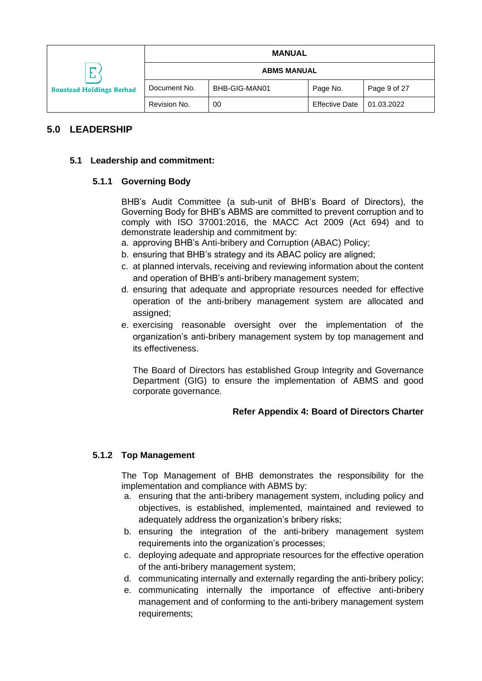|                                 |                    | <b>MANUAL</b> |                       |              |
|---------------------------------|--------------------|---------------|-----------------------|--------------|
| −                               | <b>ABMS MANUAL</b> |               |                       |              |
| <b>Boustead Holdings Berhad</b> | Document No.       | BHB-GIG-MAN01 | Page No.              | Page 9 of 27 |
|                                 | Revision No.       | 00            | <b>Effective Date</b> | 01.03.2022   |

# <span id="page-9-0"></span>**5.0 LEADERSHIP**

#### <span id="page-9-1"></span>**5.1 Leadership and commitment:**

#### **5.1.1 Governing Body**

BHB's Audit Committee (a sub-unit of BHB's Board of Directors), the Governing Body for BHB's ABMS are committed to prevent corruption and to comply with ISO 37001:2016, the MACC Act 2009 (Act 694) and to demonstrate leadership and commitment by:

- a. approving BHB's Anti-bribery and Corruption (ABAC) Policy;
- b. ensuring that BHB's strategy and its ABAC policy are aligned;
- c. at planned intervals, receiving and reviewing information about the content and operation of BHB's anti-bribery management system;
- d. ensuring that adequate and appropriate resources needed for effective operation of the anti-bribery management system are allocated and assigned;
- e. exercising reasonable oversight over the implementation of the organization's anti-bribery management system by top management and its effectiveness.

The Board of Directors has established Group Integrity and Governance Department (GIG) to ensure the implementation of ABMS and good corporate governance.

## **Refer Appendix 4: Board of Directors Charter**

## **5.1.2 Top Management**

The Top Management of BHB demonstrates the responsibility for the implementation and compliance with ABMS by:

- a. ensuring that the anti-bribery management system, including policy and objectives, is established, implemented, maintained and reviewed to adequately address the organization's bribery risks;
- b. ensuring the integration of the anti-bribery management system requirements into the organization's processes;
- c. deploying adequate and appropriate resources for the effective operation of the anti-bribery management system;
- d. communicating internally and externally regarding the anti-bribery policy;
- e. communicating internally the importance of effective anti-bribery management and of conforming to the anti-bribery management system requirements;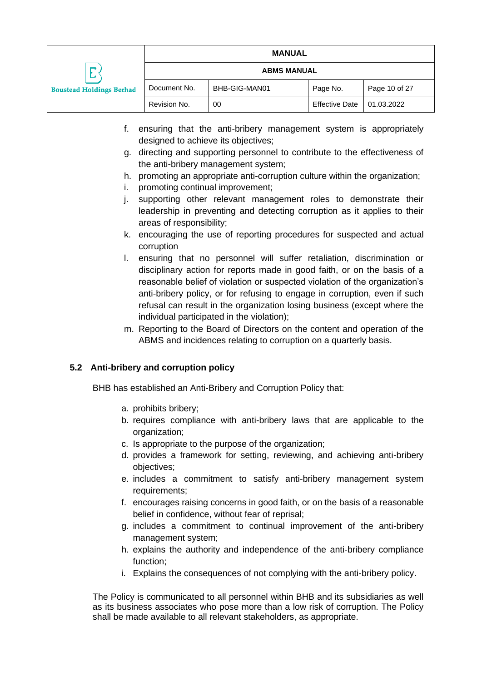|                                      |                    | <b>MANUAL</b> |                       |               |  |
|--------------------------------------|--------------------|---------------|-----------------------|---------------|--|
| −<br><b>Boustead Holdings Berhad</b> | <b>ABMS MANUAL</b> |               |                       |               |  |
|                                      | Document No.       | BHB-GIG-MAN01 | Page No.              | Page 10 of 27 |  |
|                                      | Revision No.       | 00            | <b>Effective Date</b> | 01.03.2022    |  |

- f. ensuring that the anti-bribery management system is appropriately designed to achieve its objectives;
- g. directing and supporting personnel to contribute to the effectiveness of the anti-bribery management system;
- h. promoting an appropriate anti-corruption culture within the organization;
- i. promoting continual improvement;
- j. supporting other relevant management roles to demonstrate their leadership in preventing and detecting corruption as it applies to their areas of responsibility;
- k. encouraging the use of reporting procedures for suspected and actual corruption
- l. ensuring that no personnel will suffer retaliation, discrimination or disciplinary action for reports made in good faith, or on the basis of a reasonable belief of violation or suspected violation of the organization's anti-bribery policy, or for refusing to engage in corruption, even if such refusal can result in the organization losing business (except where the individual participated in the violation);
- m. Reporting to the Board of Directors on the content and operation of the ABMS and incidences relating to corruption on a quarterly basis.

#### <span id="page-10-0"></span>**5.2 Anti-bribery and corruption policy**

BHB has established an Anti-Bribery and Corruption Policy that:

- a. prohibits bribery;
- b. requires compliance with anti-bribery laws that are applicable to the organization;
- c. Is appropriate to the purpose of the organization;
- d. provides a framework for setting, reviewing, and achieving anti-bribery objectives;
- e. includes a commitment to satisfy anti-bribery management system requirements;
- f. encourages raising concerns in good faith, or on the basis of a reasonable belief in confidence, without fear of reprisal;
- g. includes a commitment to continual improvement of the anti-bribery management system;
- h. explains the authority and independence of the anti-bribery compliance function;
- i. Explains the consequences of not complying with the anti-bribery policy.

The Policy is communicated to all personnel within BHB and its subsidiaries as well as its business associates who pose more than a low risk of corruption. The Policy shall be made available to all relevant stakeholders, as appropriate.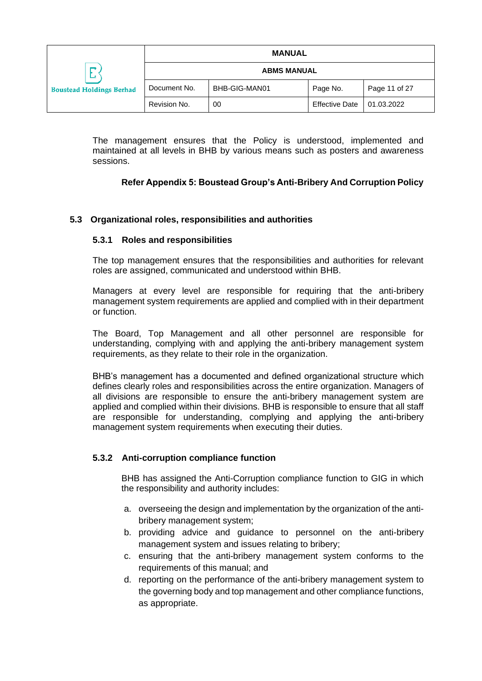|                                                |                    | <b>MANUAL</b> |                       |               |
|------------------------------------------------|--------------------|---------------|-----------------------|---------------|
| −<br>المستد<br><b>Boustead Holdings Berhad</b> | <b>ABMS MANUAL</b> |               |                       |               |
|                                                | Document No.       | BHB-GIG-MAN01 | Page No.              | Page 11 of 27 |
|                                                | Revision No.       | 00            | <b>Effective Date</b> | 01.03.2022    |

The management ensures that the Policy is understood, implemented and maintained at all levels in BHB by various means such as posters and awareness sessions.

## **Refer Appendix 5: Boustead Group's Anti-Bribery And Corruption Policy**

#### <span id="page-11-0"></span>**5.3 Organizational roles, responsibilities and authorities**

#### **5.3.1 Roles and responsibilities**

The top management ensures that the responsibilities and authorities for relevant roles are assigned, communicated and understood within BHB.

Managers at every level are responsible for requiring that the anti-bribery management system requirements are applied and complied with in their department or function.

The Board, Top Management and all other personnel are responsible for understanding, complying with and applying the anti-bribery management system requirements, as they relate to their role in the organization.

BHB's management has a documented and defined organizational structure which defines clearly roles and responsibilities across the entire organization. Managers of all divisions are responsible to ensure the anti-bribery management system are applied and complied within their divisions. BHB is responsible to ensure that all staff are responsible for understanding, complying and applying the anti-bribery management system requirements when executing their duties.

#### **5.3.2 Anti-corruption compliance function**

BHB has assigned the Anti-Corruption compliance function to GIG in which the responsibility and authority includes:

- a. overseeing the design and implementation by the organization of the antibribery management system;
- b. providing advice and guidance to personnel on the anti-bribery management system and issues relating to bribery;
- c. ensuring that the anti-bribery management system conforms to the requirements of this manual; and
- d. reporting on the performance of the anti-bribery management system to the governing body and top management and other compliance functions, as appropriate.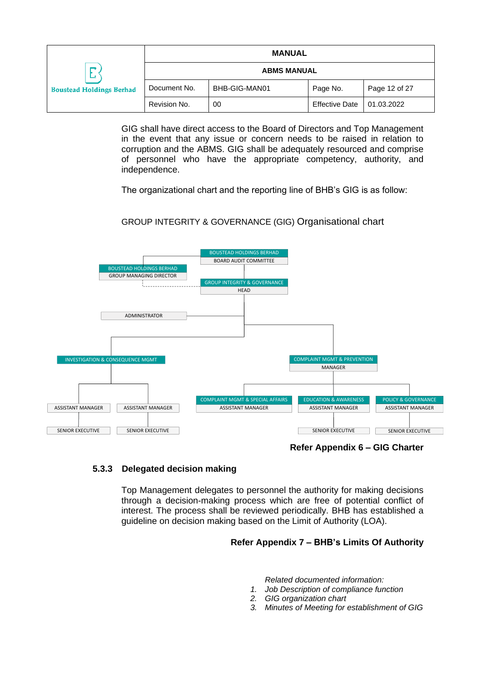|                                           |              | <b>MANUAL</b> |                       |               |  |
|-------------------------------------------|--------------|---------------|-----------------------|---------------|--|
| −<br>⊷<br><b>Boustead Holdings Berhad</b> |              |               | <b>ABMS MANUAL</b>    |               |  |
|                                           | Document No. | BHB-GIG-MAN01 | Page No.              | Page 12 of 27 |  |
|                                           | Revision No. | 00            | <b>Effective Date</b> | 01.03.2022    |  |

GIG shall have direct access to the Board of Directors and Top Management in the event that any issue or concern needs to be raised in relation to corruption and the ABMS. GIG shall be adequately resourced and comprise of personnel who have the appropriate competency, authority, and independence.

The organizational chart and the reporting line of BHB's GIG is as follow:

## GROUP INTEGRITY & GOVERNANCE (GIG) Organisational chart



**Refer Appendix 6 – GIG Charter**

#### **5.3.3 Delegated decision making**

Top Management delegates to personnel the authority for making decisions through a decision-making process which are free of potential conflict of interest. The process shall be reviewed periodically. BHB has established a guideline on decision making based on the Limit of Authority (LOA).

#### **Refer Appendix 7 – BHB's Limits Of Authority**

*Related documented information:*

- *1. Job Description of compliance function*
- *2. GIG organization chart*
- *3. Minutes of Meeting for establishment of GIG*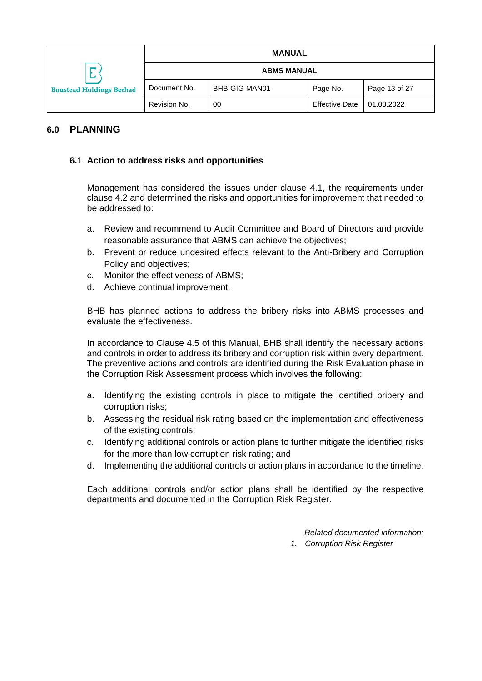|                                            |                    | <b>MANUAL</b> |                       |               |
|--------------------------------------------|--------------------|---------------|-----------------------|---------------|
| ─<br>مت<br><b>Boustead Holdings Berhad</b> | <b>ABMS MANUAL</b> |               |                       |               |
|                                            | Document No.       | BHB-GIG-MAN01 | Page No.              | Page 13 of 27 |
|                                            | Revision No.       | 00            | <b>Effective Date</b> | 01.03.2022    |

## <span id="page-13-0"></span>**6.0 PLANNING**

#### <span id="page-13-1"></span>**6.1 Action to address risks and opportunities**

Management has considered the issues under clause 4.1, the requirements under clause 4.2 and determined the risks and opportunities for improvement that needed to be addressed to:

- a. Review and recommend to Audit Committee and Board of Directors and provide reasonable assurance that ABMS can achieve the objectives;
- b. Prevent or reduce undesired effects relevant to the Anti-Bribery and Corruption Policy and objectives;
- c. Monitor the effectiveness of ABMS;
- d. Achieve continual improvement.

BHB has planned actions to address the bribery risks into ABMS processes and evaluate the effectiveness.

In accordance to Clause 4.5 of this Manual, BHB shall identify the necessary actions and controls in order to address its bribery and corruption risk within every department. The preventive actions and controls are identified during the Risk Evaluation phase in the Corruption Risk Assessment process which involves the following:

- a. Identifying the existing controls in place to mitigate the identified bribery and corruption risks;
- b. Assessing the residual risk rating based on the implementation and effectiveness of the existing controls:
- c. Identifying additional controls or action plans to further mitigate the identified risks for the more than low corruption risk rating; and
- d. Implementing the additional controls or action plans in accordance to the timeline.

Each additional controls and/or action plans shall be identified by the respective departments and documented in the Corruption Risk Register.

> *Related documented information: 1. Corruption Risk Register*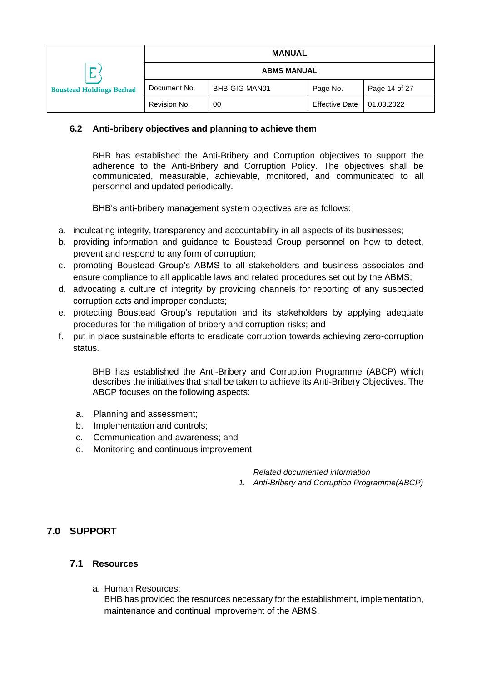|                                           |              | <b>MANUAL</b>      |                       |               |
|-------------------------------------------|--------------|--------------------|-----------------------|---------------|
| −<br>⊷<br><b>Boustead Holdings Berhad</b> |              | <b>ABMS MANUAL</b> |                       |               |
|                                           | Document No. | BHB-GIG-MAN01      | Page No.              | Page 14 of 27 |
|                                           | Revision No. | 00                 | <b>Effective Date</b> | 01.03.2022    |

## <span id="page-14-0"></span>**6.2 Anti-bribery objectives and planning to achieve them**

BHB has established the Anti-Bribery and Corruption objectives to support the adherence to the Anti-Bribery and Corruption Policy. The objectives shall be communicated, measurable, achievable, monitored, and communicated to all personnel and updated periodically.

BHB's anti-bribery management system objectives are as follows:

- a. inculcating integrity, transparency and accountability in all aspects of its businesses;
- b. providing information and guidance to Boustead Group personnel on how to detect, prevent and respond to any form of corruption;
- c. promoting Boustead Group's ABMS to all stakeholders and business associates and ensure compliance to all applicable laws and related procedures set out by the ABMS;
- d. advocating a culture of integrity by providing channels for reporting of any suspected corruption acts and improper conducts;
- e. protecting Boustead Group's reputation and its stakeholders by applying adequate procedures for the mitigation of bribery and corruption risks; and
- f. put in place sustainable efforts to eradicate corruption towards achieving zero-corruption status.

BHB has established the Anti-Bribery and Corruption Programme (ABCP) which describes the initiatives that shall be taken to achieve its Anti-Bribery Objectives. The ABCP focuses on the following aspects:

- a. Planning and assessment;
- b. Implementation and controls;
- c. Communication and awareness; and
- d. Monitoring and continuous improvement

*Related documented information*

*1. Anti-Bribery and Corruption Programme(ABCP)*

## <span id="page-14-1"></span>**7.0 SUPPORT**

## <span id="page-14-2"></span>**7.1 Resources**

a. Human Resources:

BHB has provided the resources necessary for the establishment, implementation, maintenance and continual improvement of the ABMS.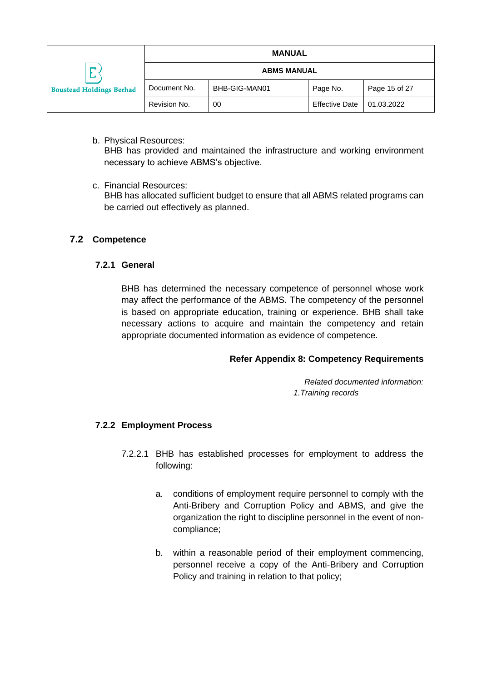|                                           |                    | <b>MANUAL</b> |                       |               |
|-------------------------------------------|--------------------|---------------|-----------------------|---------------|
| −<br>∟<br><b>Boustead Holdings Berhad</b> | <b>ABMS MANUAL</b> |               |                       |               |
|                                           | Document No.       | BHB-GIG-MAN01 | Page No.              | Page 15 of 27 |
|                                           | Revision No.       | 00            | <b>Effective Date</b> | 01.03.2022    |

b. Physical Resources:

BHB has provided and maintained the infrastructure and working environment necessary to achieve ABMS's objective.

c. Financial Resources:

BHB has allocated sufficient budget to ensure that all ABMS related programs can be carried out effectively as planned.

## <span id="page-15-0"></span>**7.2 Competence**

#### **7.2.1 General**

BHB has determined the necessary competence of personnel whose work may affect the performance of the ABMS. The competency of the personnel is based on appropriate education, training or experience. BHB shall take necessary actions to acquire and maintain the competency and retain appropriate documented information as evidence of competence.

#### **Refer Appendix 8: Competency Requirements**

*Related documented information: 1.Training records*

#### **7.2.2 Employment Process**

- 7.2.2.1 BHB has established processes for employment to address the following:
	- a. conditions of employment require personnel to comply with the Anti-Bribery and Corruption Policy and ABMS, and give the organization the right to discipline personnel in the event of noncompliance;
	- b. within a reasonable period of their employment commencing, personnel receive a copy of the Anti-Bribery and Corruption Policy and training in relation to that policy;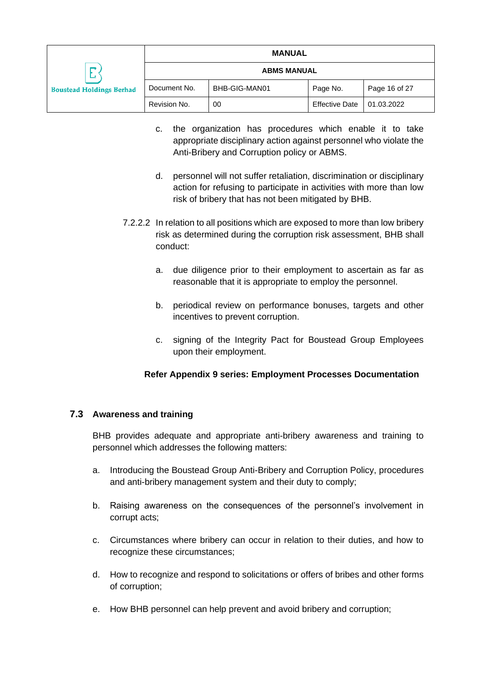|                                           |                    | <b>MANUAL</b> |                       |               |
|-------------------------------------------|--------------------|---------------|-----------------------|---------------|
| −<br>⊷<br><b>Boustead Holdings Berhad</b> | <b>ABMS MANUAL</b> |               |                       |               |
|                                           | Document No.       | BHB-GIG-MAN01 | Page No.              | Page 16 of 27 |
|                                           | Revision No.       | 00            | <b>Effective Date</b> | 01.03.2022    |

- c. the organization has procedures which enable it to take appropriate disciplinary action against personnel who violate the Anti-Bribery and Corruption policy or ABMS.
- d. personnel will not suffer retaliation, discrimination or disciplinary action for refusing to participate in activities with more than low risk of bribery that has not been mitigated by BHB.
- 7.2.2.2 In relation to all positions which are exposed to more than low bribery risk as determined during the corruption risk assessment, BHB shall conduct:
	- a. due diligence prior to their employment to ascertain as far as reasonable that it is appropriate to employ the personnel.
	- b. periodical review on performance bonuses, targets and other incentives to prevent corruption.
	- c. signing of the Integrity Pact for Boustead Group Employees upon their employment.

# **Refer Appendix 9 series: Employment Processes Documentation**

## <span id="page-16-0"></span>**7.3 Awareness and training**

BHB provides adequate and appropriate anti-bribery awareness and training to personnel which addresses the following matters:

- a. Introducing the Boustead Group Anti-Bribery and Corruption Policy, procedures and anti-bribery management system and their duty to comply;
- b. Raising awareness on the consequences of the personnel's involvement in corrupt acts;
- c. Circumstances where bribery can occur in relation to their duties, and how to recognize these circumstances;
- d. How to recognize and respond to solicitations or offers of bribes and other forms of corruption;
- e. How BHB personnel can help prevent and avoid bribery and corruption;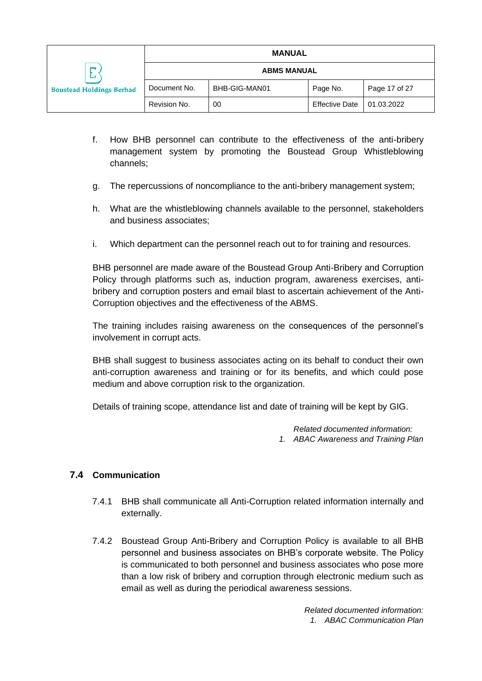|                                           |                    | <b>MANUAL</b> |                       |               |
|-------------------------------------------|--------------------|---------------|-----------------------|---------------|
| −<br>⊷<br><b>Boustead Holdings Berhad</b> | <b>ABMS MANUAL</b> |               |                       |               |
|                                           | Document No.       | BHB-GIG-MAN01 | Page No.              | Page 17 of 27 |
|                                           | Revision No.       | 00            | <b>Effective Date</b> | 01.03.2022    |

- f. How BHB personnel can contribute to the effectiveness of the anti-bribery management system by promoting the Boustead Group Whistleblowing channels;
- g. The repercussions of noncompliance to the anti-bribery management system;
- h. What are the whistleblowing channels available to the personnel, stakeholders and business associates;
- i. Which department can the personnel reach out to for training and resources.

BHB personnel are made aware of the Boustead Group Anti-Bribery and Corruption Policy through platforms such as, induction program, awareness exercises, antibribery and corruption posters and email blast to ascertain achievement of the Anti-Corruption objectives and the effectiveness of the ABMS.

The training includes raising awareness on the consequences of the personnel's involvement in corrupt acts.

BHB shall suggest to business associates acting on its behalf to conduct their own anti-corruption awareness and training or for its benefits, and which could pose medium and above corruption risk to the organization.

Details of training scope, attendance list and date of training will be kept by GIG.

*Related documented information: 1. ABAC Awareness and Training Plan*

## <span id="page-17-0"></span>**7.4 Communication**

- 7.4.1 BHB shall communicate all Anti-Corruption related information internally and externally.
- 7.4.2 Boustead Group Anti-Bribery and Corruption Policy is available to all BHB personnel and business associates on BHB's corporate website. The Policy is communicated to both personnel and business associates who pose more than a low risk of bribery and corruption through electronic medium such as email as well as during the periodical awareness sessions.

*Related documented information: 1. ABAC Communication Plan*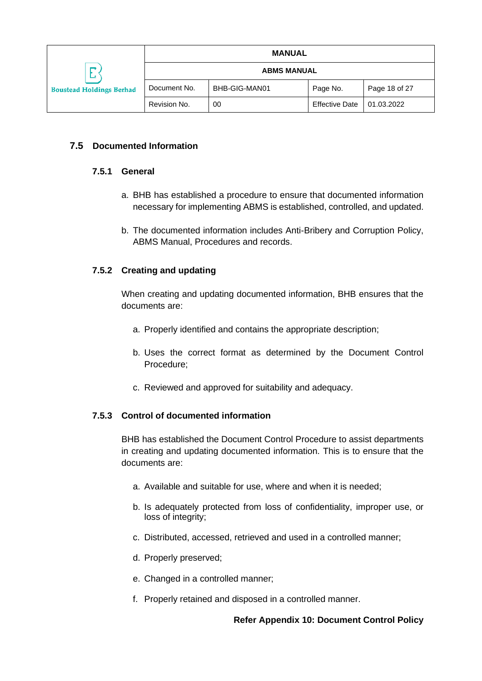|                                           |              | <b>MANUAL</b>      |                       |               |
|-------------------------------------------|--------------|--------------------|-----------------------|---------------|
| −<br>∸<br><b>Boustead Holdings Berhad</b> |              | <b>ABMS MANUAL</b> |                       |               |
|                                           | Document No. | BHB-GIG-MAN01      | Page No.              | Page 18 of 27 |
|                                           | Revision No. | 00                 | <b>Effective Date</b> | 01.03.2022    |

## <span id="page-18-0"></span>**7.5 Documented Information**

#### **7.5.1 General**

- a. BHB has established a procedure to ensure that documented information necessary for implementing ABMS is established, controlled, and updated.
- b. The documented information includes Anti-Bribery and Corruption Policy, ABMS Manual, Procedures and records.

#### **7.5.2 Creating and updating**

When creating and updating documented information, BHB ensures that the documents are:

- a. Properly identified and contains the appropriate description;
- b. Uses the correct format as determined by the Document Control Procedure;
- c. Reviewed and approved for suitability and adequacy.

#### **7.5.3 Control of documented information**

BHB has established the Document Control Procedure to assist departments in creating and updating documented information. This is to ensure that the documents are:

- a. Available and suitable for use, where and when it is needed;
- b. Is adequately protected from loss of confidentiality, improper use, or loss of integrity;
- c. Distributed, accessed, retrieved and used in a controlled manner;
- d. Properly preserved;
- e. Changed in a controlled manner;
- f. Properly retained and disposed in a controlled manner.

#### **Refer Appendix 10: Document Control Policy**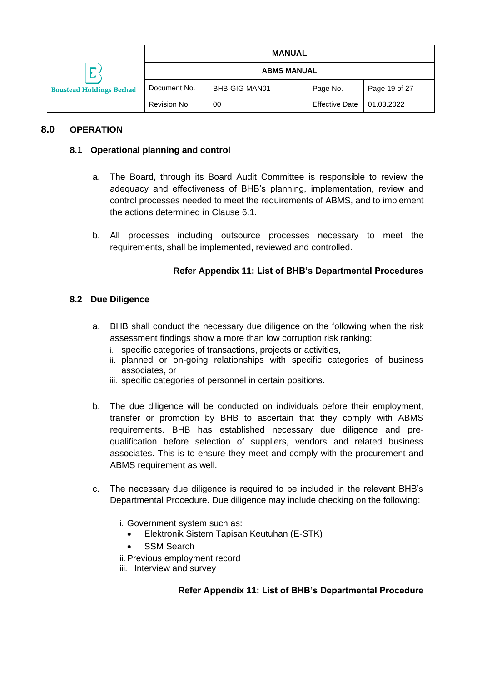|                                 |                    | <b>MANUAL</b> |                       |               |
|---------------------------------|--------------------|---------------|-----------------------|---------------|
| <b>Boustead Holdings Berhad</b> | <b>ABMS MANUAL</b> |               |                       |               |
|                                 | Document No.       | BHB-GIG-MAN01 | Page No.              | Page 19 of 27 |
|                                 | Revision No.       | 00            | <b>Effective Date</b> | 01.03.2022    |

## <span id="page-19-1"></span><span id="page-19-0"></span>**8.0 OPERATION**

## **8.1 Operational planning and control**

- a. The Board, through its Board Audit Committee is responsible to review the adequacy and effectiveness of BHB's planning, implementation, review and control processes needed to meet the requirements of ABMS, and to implement the actions determined in Clause 6.1.
- b. All processes including outsource processes necessary to meet the requirements, shall be implemented, reviewed and controlled.

#### **Refer Appendix 11: List of BHB's Departmental Procedures**

#### <span id="page-19-2"></span>**8.2 Due Diligence**

- a. BHB shall conduct the necessary due diligence on the following when the risk assessment findings show a more than low corruption risk ranking:
	- i. specific categories of transactions, projects or activities,
	- ii. planned or on-going relationships with specific categories of business associates, or
	- iii. specific categories of personnel in certain positions.
- b. The due diligence will be conducted on individuals before their employment, transfer or promotion by BHB to ascertain that they comply with ABMS requirements. BHB has established necessary due diligence and prequalification before selection of suppliers, vendors and related business associates. This is to ensure they meet and comply with the procurement and ABMS requirement as well.
- c. The necessary due diligence is required to be included in the relevant BHB's Departmental Procedure. Due diligence may include checking on the following:
	- i. Government system such as:
		- Elektronik Sistem Tapisan Keutuhan (E-STK)
		- **SSM Search**
	- ii. Previous employment record
	- iii. Interview and survey

## **Refer Appendix 11: List of BHB's Departmental Procedure**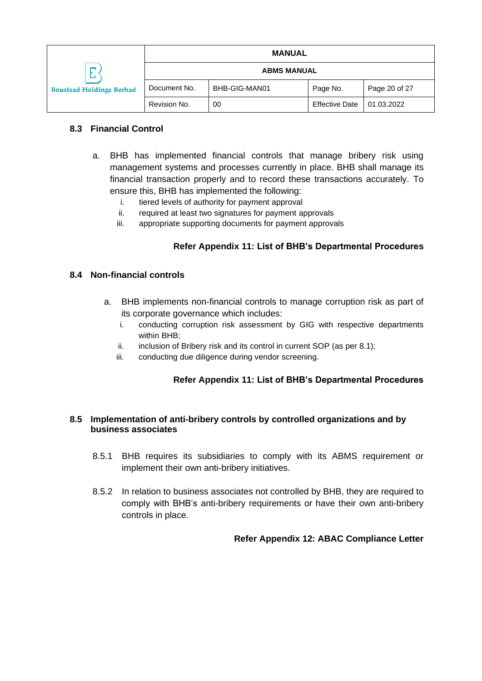|                                      |                    | <b>MANUAL</b> |                       |               |
|--------------------------------------|--------------------|---------------|-----------------------|---------------|
| −<br><b>Boustead Holdings Berhad</b> | <b>ABMS MANUAL</b> |               |                       |               |
|                                      | Document No.       | BHB-GIG-MAN01 | Page No.              | Page 20 of 27 |
|                                      | Revision No.       | 00            | <b>Effective Date</b> | 01.03.2022    |

## <span id="page-20-0"></span>**8.3 Financial Control**

- a. BHB has implemented financial controls that manage bribery risk using management systems and processes currently in place. BHB shall manage its financial transaction properly and to record these transactions accurately. To ensure this, BHB has implemented the following:
	- i. tiered levels of authority for payment approval
	- ii. required at least two signatures for payment approvals
	- iii. appropriate supporting documents for payment approvals

## **Refer Appendix 11: List of BHB's Departmental Procedures**

#### <span id="page-20-1"></span>**8.4 Non-financial controls**

- a. BHB implements non-financial controls to manage corruption risk as part of its corporate governance which includes:
	- i. conducting corruption risk assessment by GIG with respective departments within BHB;
	- ii. inclusion of Bribery risk and its control in current SOP (as per 8.1);
	- iii. conducting due diligence during vendor screening.

## **Refer Appendix 11: List of BHB's Departmental Procedures**

#### <span id="page-20-2"></span>**8.5 Implementation of anti-bribery controls by controlled organizations and by business associates**

- 8.5.1 BHB requires its subsidiaries to comply with its ABMS requirement or implement their own anti-bribery initiatives.
- 8.5.2 In relation to business associates not controlled by BHB, they are required to comply with BHB's anti-bribery requirements or have their own anti-bribery controls in place.

#### **Refer Appendix 12: ABAC Compliance Letter**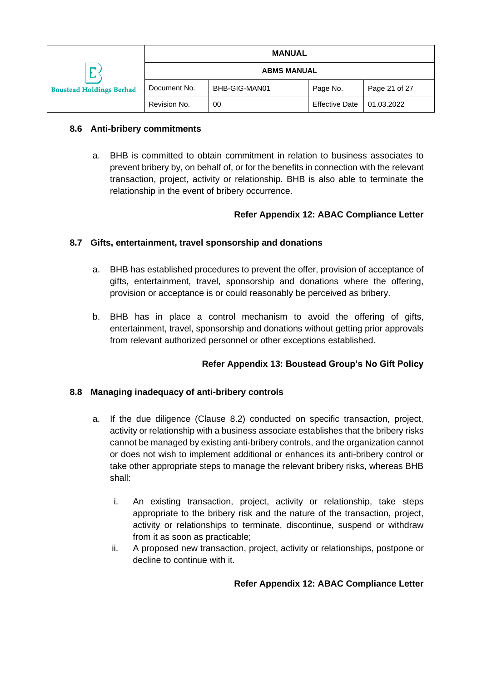|                                      |                    | <b>MANUAL</b> |                       |               |
|--------------------------------------|--------------------|---------------|-----------------------|---------------|
| ∟<br><b>Boustead Holdings Berhad</b> | <b>ABMS MANUAL</b> |               |                       |               |
|                                      | Document No.       | BHB-GIG-MAN01 | Page No.              | Page 21 of 27 |
|                                      | Revision No.       | 00            | <b>Effective Date</b> | 01.03.2022    |

## <span id="page-21-0"></span>**8.6 Anti-bribery commitments**

a. BHB is committed to obtain commitment in relation to business associates to prevent bribery by, on behalf of, or for the benefits in connection with the relevant transaction, project, activity or relationship. BHB is also able to terminate the relationship in the event of bribery occurrence.

#### **Refer Appendix 12: ABAC Compliance Letter**

## <span id="page-21-1"></span>**8.7 Gifts, entertainment, travel sponsorship and donations**

- a. BHB has established procedures to prevent the offer, provision of acceptance of gifts, entertainment, travel, sponsorship and donations where the offering, provision or acceptance is or could reasonably be perceived as bribery.
- b. BHB has in place a control mechanism to avoid the offering of gifts, entertainment, travel, sponsorship and donations without getting prior approvals from relevant authorized personnel or other exceptions established.

## **Refer Appendix 13: Boustead Group's No Gift Policy**

#### <span id="page-21-2"></span>**8.8 Managing inadequacy of anti-bribery controls**

- a. If the due diligence (Clause 8.2) conducted on specific transaction, project, activity or relationship with a business associate establishes that the bribery risks cannot be managed by existing anti-bribery controls, and the organization cannot or does not wish to implement additional or enhances its anti-bribery control or take other appropriate steps to manage the relevant bribery risks, whereas BHB shall:
	- i. An existing transaction, project, activity or relationship, take steps appropriate to the bribery risk and the nature of the transaction, project, activity or relationships to terminate, discontinue, suspend or withdraw from it as soon as practicable;
	- ii. A proposed new transaction, project, activity or relationships, postpone or decline to continue with it.

#### **Refer Appendix 12: ABAC Compliance Letter**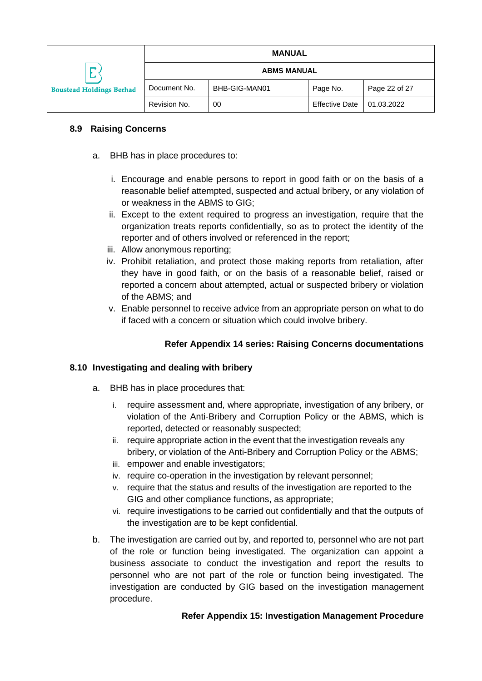|                                           |                    | <b>MANUAL</b> |                       |               |
|-------------------------------------------|--------------------|---------------|-----------------------|---------------|
| 冖<br>∟<br><b>Boustead Holdings Berhad</b> | <b>ABMS MANUAL</b> |               |                       |               |
|                                           | Document No.       | BHB-GIG-MAN01 | Page No.              | Page 22 of 27 |
|                                           | Revision No.       | 00            | <b>Effective Date</b> | 01.03.2022    |

## <span id="page-22-0"></span>**8.9 Raising Concerns**

- a. BHB has in place procedures to:
	- i. Encourage and enable persons to report in good faith or on the basis of a reasonable belief attempted, suspected and actual bribery, or any violation of or weakness in the ABMS to GIG;
	- ii. Except to the extent required to progress an investigation, require that the organization treats reports confidentially, so as to protect the identity of the reporter and of others involved or referenced in the report;
	- iii. Allow anonymous reporting;
	- iv. Prohibit retaliation, and protect those making reports from retaliation, after they have in good faith, or on the basis of a reasonable belief, raised or reported a concern about attempted, actual or suspected bribery or violation of the ABMS; and
	- v. Enable personnel to receive advice from an appropriate person on what to do if faced with a concern or situation which could involve bribery.

# **Refer Appendix 14 series: Raising Concerns documentations**

## <span id="page-22-1"></span>**8.10 Investigating and dealing with bribery**

- a. BHB has in place procedures that:
	- i. require assessment and, where appropriate, investigation of any bribery, or violation of the Anti-Bribery and Corruption Policy or the ABMS, which is reported, detected or reasonably suspected;
	- ii. require appropriate action in the event that the investigation reveals any bribery, or violation of the Anti-Bribery and Corruption Policy or the ABMS;
	- iii. empower and enable investigators;
	- iv. require co-operation in the investigation by relevant personnel;
	- v. require that the status and results of the investigation are reported to the GIG and other compliance functions, as appropriate;
	- vi. require investigations to be carried out confidentially and that the outputs of the investigation are to be kept confidential.
- b. The investigation are carried out by, and reported to, personnel who are not part of the role or function being investigated. The organization can appoint a business associate to conduct the investigation and report the results to personnel who are not part of the role or function being investigated. The investigation are conducted by GIG based on the investigation management procedure.

## **Refer Appendix 15: Investigation Management Procedure**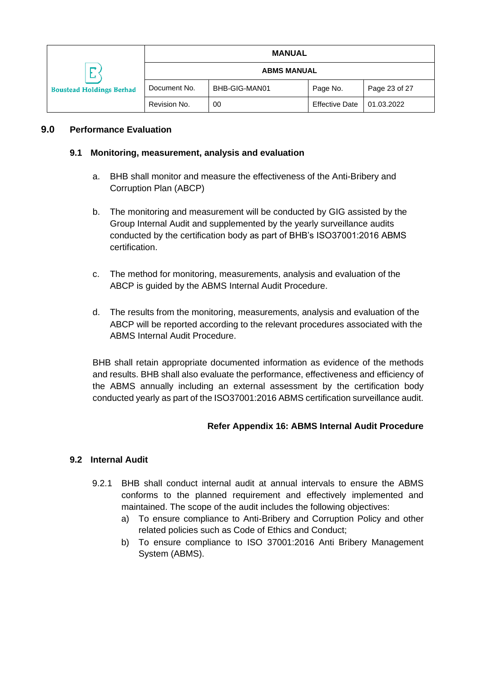|                                             |                    | <b>MANUAL</b> |                       |               |
|---------------------------------------------|--------------------|---------------|-----------------------|---------------|
| <u>.</u><br><b>Boustead Holdings Berhad</b> | <b>ABMS MANUAL</b> |               |                       |               |
|                                             | Document No.       | BHB-GIG-MAN01 | Page No.              | Page 23 of 27 |
|                                             | Revision No.       | 00            | <b>Effective Date</b> | 01.03.2022    |

## <span id="page-23-1"></span><span id="page-23-0"></span>**9.0 Performance Evaluation**

#### **9.1 Monitoring, measurement, analysis and evaluation**

- a. BHB shall monitor and measure the effectiveness of the Anti-Bribery and Corruption Plan (ABCP)
- b. The monitoring and measurement will be conducted by GIG assisted by the Group Internal Audit and supplemented by the yearly surveillance audits conducted by the certification body as part of BHB's ISO37001:2016 ABMS certification.
- c. The method for monitoring, measurements, analysis and evaluation of the ABCP is guided by the ABMS Internal Audit Procedure.
- d. The results from the monitoring, measurements, analysis and evaluation of the ABCP will be reported according to the relevant procedures associated with the ABMS Internal Audit Procedure.

BHB shall retain appropriate documented information as evidence of the methods and results. BHB shall also evaluate the performance, effectiveness and efficiency of the ABMS annually including an external assessment by the certification body conducted yearly as part of the ISO37001:2016 ABMS certification surveillance audit.

## **Refer Appendix 16: ABMS Internal Audit Procedure**

#### <span id="page-23-2"></span>**9.2 Internal Audit**

- 9.2.1 BHB shall conduct internal audit at annual intervals to ensure the ABMS conforms to the planned requirement and effectively implemented and maintained. The scope of the audit includes the following objectives:
	- a) To ensure compliance to Anti-Bribery and Corruption Policy and other related policies such as Code of Ethics and Conduct;
	- b) To ensure compliance to ISO 37001:2016 Anti Bribery Management System (ABMS).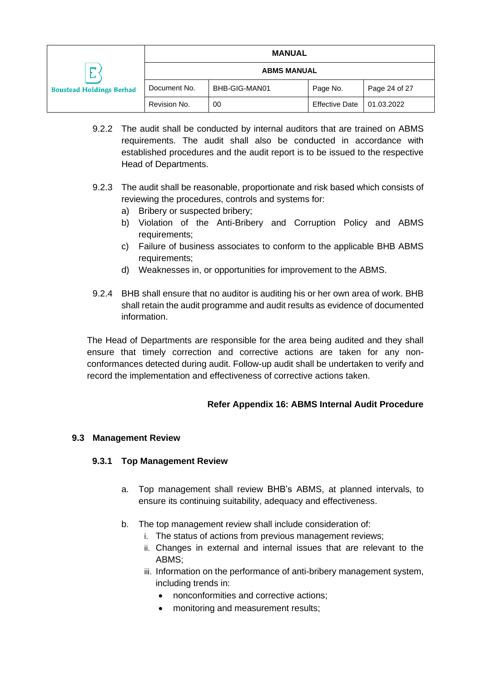|                                      | <b>MANUAL</b>      |               |                       |               |
|--------------------------------------|--------------------|---------------|-----------------------|---------------|
| −<br><b>Boustead Holdings Berhad</b> | <b>ABMS MANUAL</b> |               |                       |               |
|                                      | Document No.       | BHB-GIG-MAN01 | Page No.              | Page 24 of 27 |
|                                      | Revision No.       | 00            | <b>Effective Date</b> | 01.03.2022    |

- 9.2.2 The audit shall be conducted by internal auditors that are trained on ABMS requirements. The audit shall also be conducted in accordance with established procedures and the audit report is to be issued to the respective Head of Departments.
- 9.2.3 The audit shall be reasonable, proportionate and risk based which consists of reviewing the procedures, controls and systems for:
	- a) Bribery or suspected bribery;
	- b) Violation of the Anti-Bribery and Corruption Policy and ABMS requirements;
	- c) Failure of business associates to conform to the applicable BHB ABMS requirements;
	- d) Weaknesses in, or opportunities for improvement to the ABMS.
- 9.2.4 BHB shall ensure that no auditor is auditing his or her own area of work. BHB shall retain the audit programme and audit results as evidence of documented information.

The Head of Departments are responsible for the area being audited and they shall ensure that timely correction and corrective actions are taken for any nonconformances detected during audit. Follow-up audit shall be undertaken to verify and record the implementation and effectiveness of corrective actions taken.

# **Refer Appendix 16: ABMS Internal Audit Procedure**

## <span id="page-24-1"></span><span id="page-24-0"></span>**9.3 Management Review**

## **9.3.1 Top Management Review**

- a. Top management shall review BHB's ABMS, at planned intervals, to ensure its continuing suitability, adequacy and effectiveness.
- b. The top management review shall include consideration of:
	- i. The status of actions from previous management reviews;
	- ii. Changes in external and internal issues that are relevant to the ABMS;
	- iii. Information on the performance of anti-bribery management system, including trends in:
		- nonconformities and corrective actions;
		- monitoring and measurement results;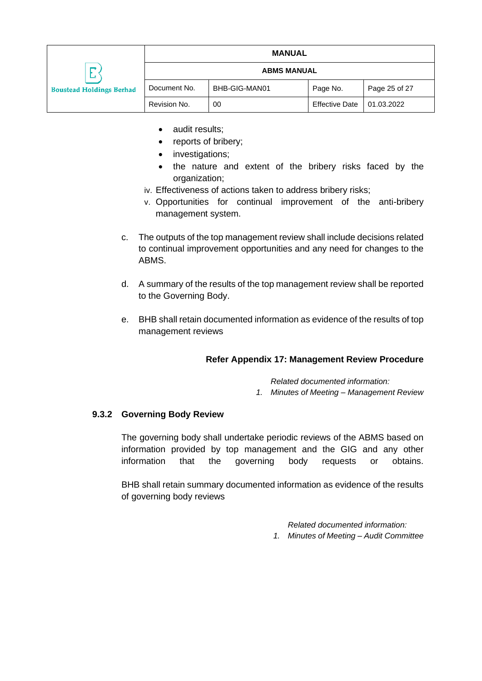|                                           | <b>MANUAL</b>      |               |                       |               |
|-------------------------------------------|--------------------|---------------|-----------------------|---------------|
| −<br>∸<br><b>Boustead Holdings Berhad</b> | <b>ABMS MANUAL</b> |               |                       |               |
|                                           | Document No.       | BHB-GIG-MAN01 | Page No.              | Page 25 of 27 |
|                                           | Revision No.       | 00            | <b>Effective Date</b> | 01.03.2022    |

- audit results:
- reports of bribery;
- investigations;
- the nature and extent of the bribery risks faced by the organization;
- iv. Effectiveness of actions taken to address bribery risks;
- v. Opportunities for continual improvement of the anti-bribery management system.
- c. The outputs of the top management review shall include decisions related to continual improvement opportunities and any need for changes to the ABMS.
- d. A summary of the results of the top management review shall be reported to the Governing Body.
- e. BHB shall retain documented information as evidence of the results of top management reviews

## **Refer Appendix 17: Management Review Procedure**

*Related documented information:*

*1. Minutes of Meeting – Management Review*

## <span id="page-25-0"></span>**9.3.2 Governing Body Review**

The governing body shall undertake periodic reviews of the ABMS based on information provided by top management and the GIG and any other information that the governing body requests or obtains.

BHB shall retain summary documented information as evidence of the results of governing body reviews

*Related documented information:*

*1. Minutes of Meeting – Audit Committee*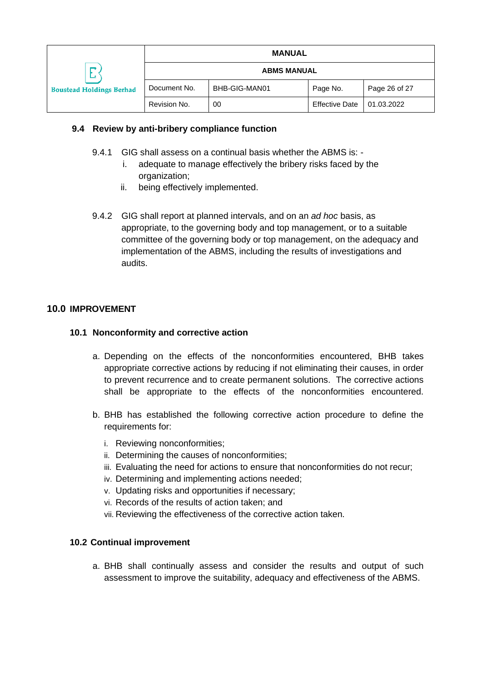|                                           |                    | <b>MANUAL</b> |                       |               |
|-------------------------------------------|--------------------|---------------|-----------------------|---------------|
| −<br>∟<br><b>Boustead Holdings Berhad</b> | <b>ABMS MANUAL</b> |               |                       |               |
|                                           | Document No.       | BHB-GIG-MAN01 | Page No.              | Page 26 of 27 |
|                                           | Revision No.       | 00            | <b>Effective Date</b> | 01.03.2022    |

#### <span id="page-26-0"></span>**9.4 Review by anti-bribery compliance function**

- 9.4.1 GIG shall assess on a continual basis whether the ABMS is:
	- i. adequate to manage effectively the bribery risks faced by the organization;
	- ii. being effectively implemented.
- 9.4.2 GIG shall report at planned intervals, and on an *ad hoc* basis, as appropriate, to the governing body and top management, or to a suitable committee of the governing body or top management, on the adequacy and implementation of the ABMS, including the results of investigations and audits.

#### <span id="page-26-2"></span><span id="page-26-1"></span>**10.0 IMPROVEMENT**

#### **10.1 Nonconformity and corrective action**

- a. Depending on the effects of the nonconformities encountered, BHB takes appropriate corrective actions by reducing if not eliminating their causes, in order to prevent recurrence and to create permanent solutions. The corrective actions shall be appropriate to the effects of the nonconformities encountered.
- b. BHB has established the following corrective action procedure to define the requirements for:
	- i. Reviewing nonconformities;
	- ii. Determining the causes of nonconformities;
	- iii. Evaluating the need for actions to ensure that nonconformities do not recur;
	- iv. Determining and implementing actions needed;
	- v. Updating risks and opportunities if necessary;
	- vi. Records of the results of action taken; and
	- vii. Reviewing the effectiveness of the corrective action taken.

#### <span id="page-26-3"></span>**10.2 Continual improvement**

a. BHB shall continually assess and consider the results and output of such assessment to improve the suitability, adequacy and effectiveness of the ABMS.